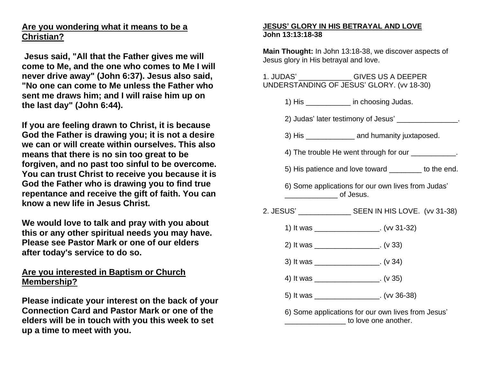## **Are you wondering what it means to be a Christian?**

**Jesus said, "All that the Father gives me will come to Me, and the one who comes to Me I will never drive away" (John 6:37). Jesus also said, "No one can come to Me unless the Father who sent me draws him; and I will raise him up on the last day" (John 6:44).**

**If you are feeling drawn to Christ, it is because God the Father is drawing you; it is not a desire we can or will create within ourselves. This also means that there is no sin too great to be forgiven, and no past too sinful to be overcome. You can trust Christ to receive you because it is God the Father who is drawing you to find true repentance and receive the gift of faith. You can know a new life in Jesus Christ.**

**We would love to talk and pray with you about this or any other spiritual needs you may have. Please see Pastor Mark or one of our elders after today's service to do so.**

## **Are you interested in Baptism or Church Membership?**

**Please indicate your interest on the back of your Connection Card and Pastor Mark or one of the elders will be in touch with you this week to set up a time to meet with you.**

## **JESUS' GLORY IN HIS BETRAYAL AND LOVE John 13:13:18-38**

**Main Thought:** In John 13:18-38, we discover aspects of Jesus glory in His betrayal and love.

1. JUDAS' \_\_\_\_\_\_\_\_\_\_\_\_\_ GIVES US A DEEPER UNDERSTANDING OF JESUS' GLORY. (vv 18-30)

1) His \_\_\_\_\_\_\_\_\_\_\_ in choosing Judas.

- 2) Judas' later testimony of Jesus' \_\_\_\_\_\_\_\_\_\_\_\_\_\_\_.
- 3) His \_\_\_\_\_\_\_\_\_\_\_\_ and humanity juxtaposed.
- 4) The trouble He went through for our \_\_\_\_\_\_\_\_\_\_.
- 5) His patience and love toward to the end.
- 6) Some applications for our own lives from Judas' \_\_\_\_\_\_\_\_\_\_\_\_\_ of Jesus.
- 2. JESUS' SEEN IN HIS LOVE. (vv 31-38)
	- 1) It was \_\_\_\_\_\_\_\_\_\_\_\_\_\_\_\_. (vv 31-32)
	- 2) It was \_\_\_\_\_\_\_\_\_\_\_\_\_\_\_\_. (v 33)
	- 3) It was \_\_\_\_\_\_\_\_\_\_\_\_\_\_\_\_. (v 34)
	- 4) It was \_\_\_\_\_\_\_\_\_\_\_\_\_\_\_\_. (v 35)
	- 5) It was \_\_\_\_\_\_\_\_\_\_\_\_\_\_\_\_. (vv 36-38)
	- 6) Some applications for our own lives from Jesus' \_\_\_\_\_\_\_\_\_\_\_\_\_\_\_ to love one another.